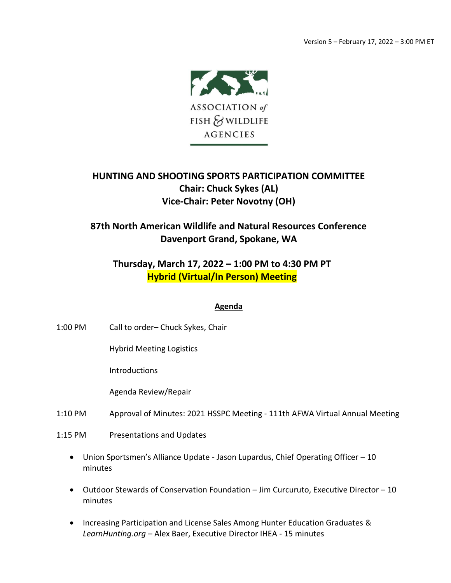

## **HUNTING AND SHOOTING SPORTS PARTICIPATION COMMITTEE Chair: Chuck Sykes (AL) Vice-Chair: Peter Novotny (OH)**

## **87th North American Wildlife and Natural Resources Conference Davenport Grand, Spokane, WA**

## **Thursday, March 17, 2022 – 1:00 PM to 4:30 PM PT Hybrid (Virtual/In Person) Meeting**

## **Agenda**

- 1:00 PM Call to order– Chuck Sykes, Chair
	- Hybrid Meeting Logistics

**Introductions** 

Agenda Review/Repair

- 1:10 PM Approval of Minutes: 2021 HSSPC Meeting 111th AFWA Virtual Annual Meeting
- 1:15 PM Presentations and Updates
	- Union Sportsmen's Alliance Update Jason Lupardus, Chief Operating Officer 10 minutes
	- Outdoor Stewards of Conservation Foundation Jim Curcuruto, Executive Director 10 minutes
	- Increasing Participation and License Sales Among Hunter Education Graduates & *LearnHunting.org* – Alex Baer, Executive Director IHEA - 15 minutes